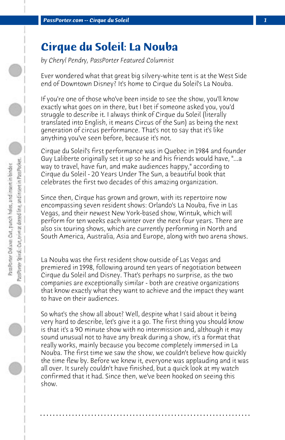## **Cirque du Soleil: La Nouba**

*by Cheryl Pendry, PassPorter Featured Columnist*

Ever wondered what that great big silvery-white tent is at the West Side end of Downtown Disney? It's home to Cirque du Soleil's La Nouba.

If you're one of those who've been inside to see the show, you'll know exactly what goes on in there, but I bet if someone asked you, you'd struggle to describe it. I always think of Cirque du Soleil (literally translated into English, it means Circus of the Sun) as being the next generation of circus performance. That's not to say that it's like anything you've seen before, because it's not.

Cirque du Soleil's first performance was in Quebec in 1984 and founder Guy Laliberte originally set it up so he and his friends would have, "...a way to travel, have fun, and make audiences happy," according to Cirque du Soleil - 20 Years Under The Sun, a beautiful book that celebrates the first two decades of this amazing organization.

Since then, Cirque has grown and grown, with its repertoire now encompassing seven resident shows: Orlando's La Nouba, five in Las Vegas, and their newest New York-based show, Wintuk, which will perform for ten weeks each winter over the next four years. There are also six touring shows, which are currently performing in North and South America, Australia, Asia and Europe, along with two arena shows.

La Nouba was the first resident show outside of Las Vegas and premiered in 1998, following around ten years of negotiation between Cirque du Soleil and Disney. That's perhaps no surprise, as the two companies are exceptionally similar - both are creative organizations that know exactly what they want to achieve and the impact they want to have on their audiences.

So what's the show all about? Well, despite what I said about it being very hard to describe, let's give it a go. The first thing you should know is that it's a 90 minute show with no intermission and, although it may sound unusual not to have any break during a show, it's a format that really works, mainly because you become completely immersed in La Nouba. The first time we saw the show, we couldn't believe how quickly the time flew by. Before we knew it, everyone was applauding and it was all over. It surely couldn't have finished, but a quick look at my watch confirmed that it had. Since then, we've been hooked on seeing this show.

**. . . . . . . . . . . . . . . . . . . . . . . . . . . . . . . . . . . . . . . . . . . . . . . . . . . . . . . . . . . . . . . . . .**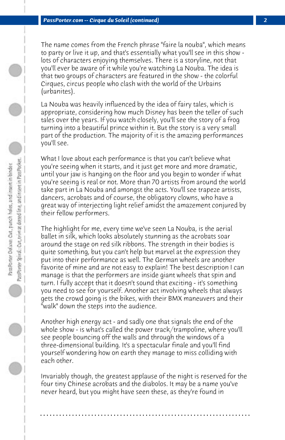The name comes from the French phrase "faire la nouba", which means to party or live it up, and that's essentially what you'll see in this show lots of characters enjoying themselves. There is a storyline, not that you'll ever be aware of it while you're watching La Nouba. The idea is that two groups of characters are featured in the show - the colorful Cirques, circus people who clash with the world of the Urbains (urbanites).

La Nouba was heavily influenced by the idea of fairy tales, which is appropriate, considering how much Disney has been the teller of such tales over the years. If you watch closely, you'll see the story of a frog turning into a beautiful prince within it. But the story is a very small part of the production. The majority of it is the amazing performances you'll see.

What I love about each performance is that you can't believe what you're seeing when it starts, and it just get more and more dramatic, until your jaw is hanging on the floor and you begin to wonder if what you're seeing is real or not. More than 70 artists from around the world take part in La Nouba and amongst the acts. You'll see trapeze artists, dancers, acrobats and of course, the obligatory clowns, who have a great way of interjecting light relief amidst the amazement conjured by their fellow performers.

The highlight for me, every time we've seen La Nouba, is the aerial ballet in silk, which looks absolutely stunning as the acrobats soar around the stage on red silk ribbons. The strength in their bodies is quite something, but you can't help but marvel at the expression they put into their performance as well. The German wheels are another favorite of mine and are not easy to explain! The best description I can manage is that the performers are inside giant wheels that spin and turn. I fully accept that it doesn't sound that exciting - it's something you need to see for yourself. Another act involving wheels that always gets the crowd going is the bikes, with their BMX maneuvers and their "walk" down the steps into the audience.

Another high energy act - and sadly one that signals the end of the whole show - is what's called the power track/trampoline, where you'll see people bouncing off the walls and through the windows of a three-dimensional building. It's a spectacular finale and you'll find yourself wondering how on earth they manage to miss colliding with each other.

Invariably though, the greatest applause of the night is reserved for the four tiny Chinese acrobats and the diabolos. It may be a name you've never heard, but you might have seen these, as they're found in

**. . . . . . . . . . . . . . . . . . . . . . . . . . . . . . . . . . . . . . . . . . . . . . . . . . . . . . . . . . . . . . . . . .**